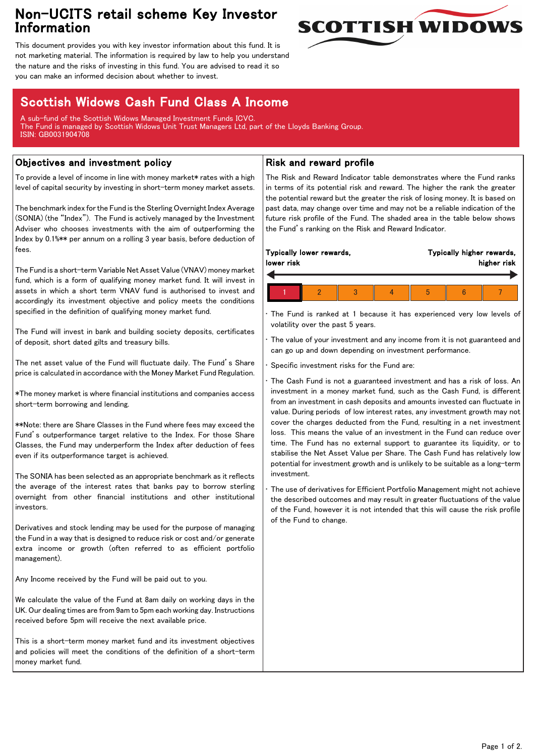# Non-UCITS retail scheme Key Investor Information



This document provides you with key investor information about this fund. It is not marketing material. The information is required by law to help you understand the nature and the risks of investing in this fund. You are advised to read it so you can make an informed decision about whether to invest.

# Scottish Widows Cash Fund Class A Income

A sub-fund of the Scottish Widows Managed Investment Funds ICVC. The Fund is managed by Scottish Widows Unit Trust Managers Ltd, part of the Lloyds Banking Group. ISIN: GB0031904708

### Objectives and investment policy

To provide a level of income in line with money market\* rates with a high level of capital security by investing in short-term money market assets.

The benchmark index for the Fund is the Sterling Overnight Index Average (SONIA) (the "Index"). The Fund is actively managed by the Investment Adviser who chooses investments with the aim of outperforming the Index by 0.1%\*\* per annum on a rolling 3 year basis, before deduction of fees.

The Fund is a short-term Variable Net Asset Value (VNAV) money market fund, which is a form of qualifying money market fund. It will invest in assets in which a short term VNAV fund is authorised to invest and accordingly its investment objective and policy meets the conditions specified in the definition of qualifying money market fund.

The Fund will invest in bank and building society deposits, certificates of deposit, short dated gilts and treasury bills.

The net asset value of the Fund will fluctuate daily. The Fund's Share price is calculated in accordance with the Money Market Fund Regulation.

\*The money market is where financial institutions and companies access short-term borrowing and lending.

\*\*Note: there are Share Classes in the Fund where fees may exceed the Fund's outperformance target relative to the Index. For those Share Classes, the Fund may underperform the Index after deduction of fees even if its outperformance target is achieved.

The SONIA has been selected as an appropriate benchmark as it reflects the average of the interest rates that banks pay to borrow sterling overnight from other financial institutions and other institutional investors.

Derivatives and stock lending may be used for the purpose of managing the Fund in a way that is designed to reduce risk or cost and/or generate extra income or growth (often referred to as efficient portfolio management).

Any Income received by the Fund will be paid out to you.

We calculate the value of the Fund at 8am daily on working days in the UK. Our dealing times are from 9am to 5pm each working day. Instructions received before 5pm will receive the next available price.

This is a short-term money market fund and its investment objectives and policies will meet the conditions of the definition of a short-term money market fund.

### Risk and reward profile

The Risk and Reward Indicator table demonstrates where the Fund ranks in terms of its potential risk and reward. The higher the rank the greater the potential reward but the greater the risk of losing money. It is based on past data, may change over time and may not be a reliable indication of the future risk profile of the Fund. The shaded area in the table below shows the Fund's ranking on the Risk and Reward Indicator.

| Typically lower rewards, |  |  |  | Typically higher rewards, |  |  |
|--------------------------|--|--|--|---------------------------|--|--|
| lower risk               |  |  |  | higher risk               |  |  |
|                          |  |  |  |                           |  |  |

• The Fund is ranked at 1 because it has experienced very low levels of volatility over the past 5 years.

The value of your investment and any income from it is not guaranteed and can go up and down depending on investment performance.

Specific investment risks for the Fund are:

• The Cash Fund is not a guaranteed investment and has a risk of loss. An investment in a money market fund, such as the Cash Fund, is different from an investment in cash deposits and amounts invested can fluctuate in value. During periods of low interest rates, any investment growth may not cover the charges deducted from the Fund, resulting in a net investment loss. This means the value of an investment in the Fund can reduce over time. The Fund has no external support to guarantee its liquidity, or to stabilise the Net Asset Value per Share. The Cash Fund has relatively low potential for investment growth and is unlikely to be suitable as a long-term investment.

The use of derivatives for Efficient Portfolio Management might not achieve the described outcomes and may result in greater fluctuations of the value of the Fund, however it is not intended that this will cause the risk profile of the Fund to change.